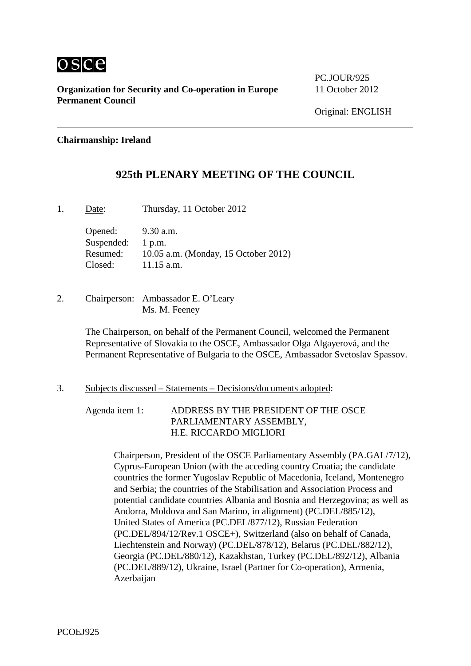

**Organization for Security and Co-operation in Europe** 11 October 2012 **Permanent Council**

PC.JOUR/925

# **Chairmanship: Ireland**

# **925th PLENARY MEETING OF THE COUNCIL**

1. Date: Thursday, 11 October 2012

Opened: 9.30 a.m. Suspended: 1 p.m. Resumed: 10.05 a.m. (Monday, 15 October 2012) Closed: 11.15 a.m.

2. Chairperson: Ambassador E. O'Leary Ms. M. Feeney

> The Chairperson, on behalf of the Permanent Council, welcomed the Permanent Representative of Slovakia to the OSCE, Ambassador Olga Algayerová, and the Permanent Representative of Bulgaria to the OSCE, Ambassador Svetoslav Spassov.

## 3. Subjects discussed – Statements – Decisions/documents adopted:

Agenda item 1: ADDRESS BY THE PRESIDENT OF THE OSCE PARLIAMENTARY ASSEMBLY, H.E. RICCARDO MIGLIORI

> Chairperson, President of the OSCE Parliamentary Assembly (PA.GAL/7/12), Cyprus-European Union (with the acceding country Croatia; the candidate countries the former Yugoslav Republic of Macedonia, Iceland, Montenegro and Serbia; the countries of the Stabilisation and Association Process and potential candidate countries Albania and Bosnia and Herzegovina; as well as Andorra, Moldova and San Marino, in alignment) (PC.DEL/885/12), United States of America (PC.DEL/877/12), Russian Federation (PC.DEL/894/12/Rev.1 OSCE+), Switzerland (also on behalf of Canada, Liechtenstein and Norway) (PC.DEL/878/12), Belarus (PC.DEL/882/12), Georgia (PC.DEL/880/12), Kazakhstan, Turkey (PC.DEL/892/12), Albania (PC.DEL/889/12), Ukraine, Israel (Partner for Co-operation), Armenia, Azerbaijan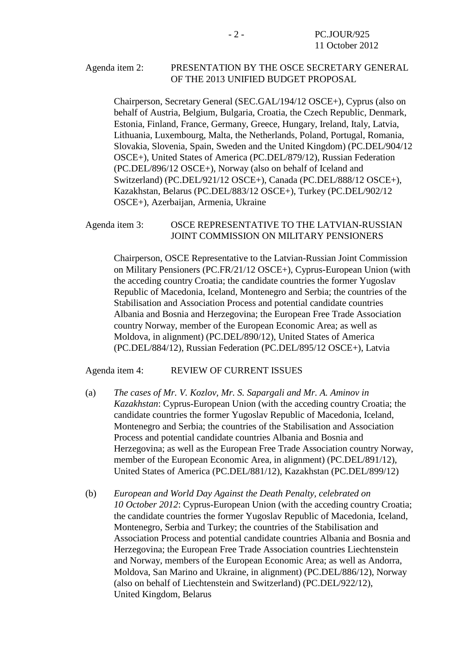## Agenda item 2: PRESENTATION BY THE OSCE SECRETARY GENERAL OF THE 2013 UNIFIED BUDGET PROPOSAL

Chairperson, Secretary General (SEC.GAL/194/12 OSCE+), Cyprus (also on behalf of Austria, Belgium, Bulgaria, Croatia, the Czech Republic, Denmark, Estonia, Finland, France, Germany, Greece, Hungary, Ireland, Italy, Latvia, Lithuania, Luxembourg, Malta, the Netherlands, Poland, Portugal, Romania, Slovakia, Slovenia, Spain, Sweden and the United Kingdom) (PC.DEL/904/12 OSCE+), United States of America (PC.DEL/879/12), Russian Federation (PC.DEL/896/12 OSCE+), Norway (also on behalf of Iceland and Switzerland) (PC.DEL/921/12 OSCE+), Canada (PC.DEL/888/12 OSCE+), Kazakhstan, Belarus (PC.DEL/883/12 OSCE+), Turkey (PC.DEL/902/12 OSCE+), Azerbaijan, Armenia, Ukraine

## Agenda item 3: OSCE REPRESENTATIVE TO THE LATVIAN-RUSSIAN JOINT COMMISSION ON MILITARY PENSIONERS

Chairperson, OSCE Representative to the Latvian-Russian Joint Commission on Military Pensioners (PC.FR/21/12 OSCE+), Cyprus-European Union (with the acceding country Croatia; the candidate countries the former Yugoslav Republic of Macedonia, Iceland, Montenegro and Serbia; the countries of the Stabilisation and Association Process and potential candidate countries Albania and Bosnia and Herzegovina; the European Free Trade Association country Norway, member of the European Economic Area; as well as Moldova, in alignment) (PC.DEL/890/12), United States of America (PC.DEL/884/12), Russian Federation (PC.DEL/895/12 OSCE+), Latvia

#### Agenda item 4: REVIEW OF CURRENT ISSUES

- (a) *The cases of Mr. V. Kozlov, Mr. S. Sapargali and Mr. A. Aminov in Kazakhstan*: Cyprus-European Union (with the acceding country Croatia; the candidate countries the former Yugoslav Republic of Macedonia, Iceland, Montenegro and Serbia; the countries of the Stabilisation and Association Process and potential candidate countries Albania and Bosnia and Herzegovina; as well as the European Free Trade Association country Norway, member of the European Economic Area, in alignment) (PC.DEL/891/12), United States of America (PC.DEL/881/12), Kazakhstan (PC.DEL/899/12)
- (b) *European and World Day Against the Death Penalty, celebrated on 10 October 2012*: Cyprus-European Union (with the acceding country Croatia; the candidate countries the former Yugoslav Republic of Macedonia, Iceland, Montenegro, Serbia and Turkey; the countries of the Stabilisation and Association Process and potential candidate countries Albania and Bosnia and Herzegovina; the European Free Trade Association countries Liechtenstein and Norway, members of the European Economic Area; as well as Andorra, Moldova, San Marino and Ukraine, in alignment) (PC.DEL/886/12), Norway (also on behalf of Liechtenstein and Switzerland) (PC.DEL/922/12), United Kingdom, Belarus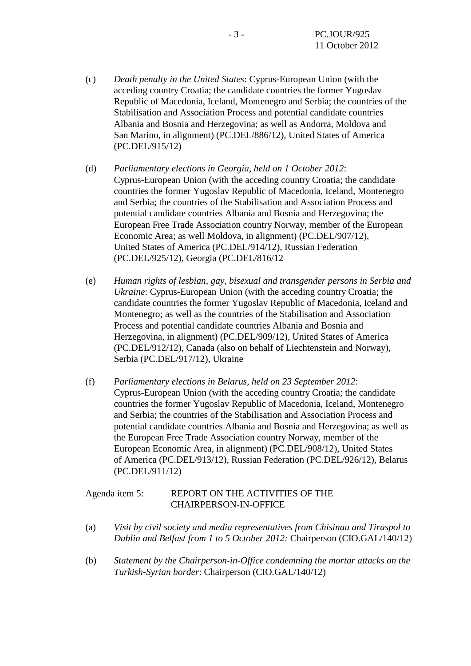- (c) *Death penalty in the United States*: Cyprus-European Union (with the acceding country Croatia; the candidate countries the former Yugoslav Republic of Macedonia, Iceland, Montenegro and Serbia; the countries of the Stabilisation and Association Process and potential candidate countries Albania and Bosnia and Herzegovina; as well as Andorra, Moldova and San Marino, in alignment) (PC.DEL/886/12), United States of America (PC.DEL/915/12)
- (d) *Parliamentary elections in Georgia, held on 1 October 2012*: Cyprus-European Union (with the acceding country Croatia; the candidate countries the former Yugoslav Republic of Macedonia, Iceland, Montenegro and Serbia; the countries of the Stabilisation and Association Process and potential candidate countries Albania and Bosnia and Herzegovina; the European Free Trade Association country Norway, member of the European Economic Area; as well Moldova, in alignment) (PC.DEL/907/12), United States of America (PC.DEL/914/12), Russian Federation (PC.DEL/925/12), Georgia (PC.DEL/816/12
- (e) *Human rights of lesbian, gay, bisexual and transgender persons in Serbia and Ukraine*: Cyprus-European Union (with the acceding country Croatia; the candidate countries the former Yugoslav Republic of Macedonia, Iceland and Montenegro; as well as the countries of the Stabilisation and Association Process and potential candidate countries Albania and Bosnia and Herzegovina, in alignment) (PC.DEL/909/12), United States of America (PC.DEL/912/12), Canada (also on behalf of Liechtenstein and Norway), Serbia (PC.DEL/917/12), Ukraine
- (f) *Parliamentary elections in Belarus, held on 23 September 2012*: Cyprus-European Union (with the acceding country Croatia; the candidate countries the former Yugoslav Republic of Macedonia, Iceland, Montenegro and Serbia; the countries of the Stabilisation and Association Process and potential candidate countries Albania and Bosnia and Herzegovina; as well as the European Free Trade Association country Norway, member of the European Economic Area, in alignment) (PC.DEL/908/12), United States of America (PC.DEL/913/12), Russian Federation (PC.DEL/926/12), Belarus (PC.DEL/911/12)

# Agenda item 5: REPORT ON THE ACTIVITIES OF THE CHAIRPERSON-IN-OFFICE

- (a) *Visit by civil society and media representatives from Chisinau and Tiraspol to Dublin and Belfast from 1 to 5 October 2012:* Chairperson (CIO.GAL/140/12)
- (b) *Statement by the Chairperson-in-Office condemning the mortar attacks on the Turkish-Syrian border*: Chairperson (CIO.GAL/140/12)